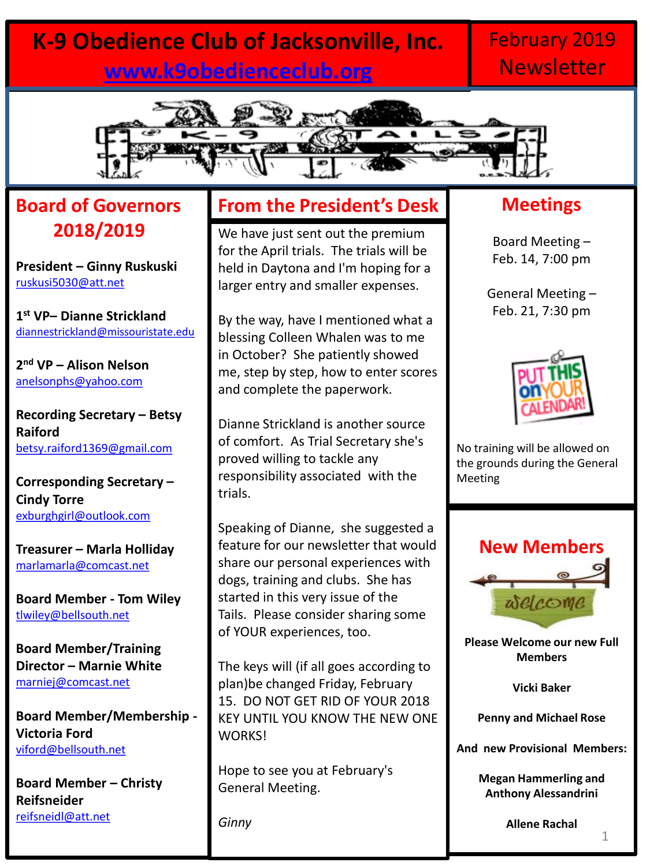# **K-9 Obedience Club of Jacksonville, Inc. [www.k9obedienceclub.org](http://www.k9obedienceclub.org/)**

### February 2019 **Newsletter**



### **Board of Governors 2018/2019**

**President – Ginny Ruskuski** [ruskusi5030@att.net](mailto:ruskusi5030@att.net)

**1 st VP– Dianne Strickland** [diannestrickland@missouristate.edu](mailto:diannestrickland@missouristate.edu)

**2 nd VP – Alison Nelson** [anelsonphs@yahoo.com](mailto:anelsonphs@yahoo.com)

**Recording Secretary – Betsy Raiford** [betsy.raiford1369@gmail.com](mailto:betsy.raiford1369@gmail.com)

**Corresponding Secretary – Cindy Torre** [exburghgirl@outlook.com](mailto:exburghgirl@outlook.com)

**Treasurer – Marla Holliday** [marlamarla@comcast.net](mailto:marlamarla@comcast.net)

**Board Member - Tom Wiley** [tlwiley@bellsouth.net](mailto:tlwiley@bellsouth.net)

**Board Member/Training Director – Marnie White**  [marniej@comcast.net](mailto:marniej@comcast.net)

**Board Member/Membership - Victoria Ford** [viford@bellsouth.net](mailto:viford@bellsouth.net)

**Board Member – Christy Reifsneider** [reifsneidl@att.net](mailto:reifsneidl@att.net)

### **From the President's Desk**

We have just sent out the premium for the April trials. The trials will be held in Daytona and I'm hoping for a larger entry and smaller expenses.

By the way, have I mentioned what a blessing Colleen Whalen was to me in October? She patiently showed me, step by step, how to enter scores and complete the paperwork.

Dianne Strickland is another source of comfort. As Trial Secretary she's proved willing to tackle any responsibility associated with the trials.

Speaking of Dianne, she suggested a feature for our newsletter that would share our personal experiences with dogs, training and clubs. She has started in this very issue of the Tails. Please consider sharing some of YOUR experiences, too.

The keys will (if all goes according to plan)be changed Friday, February 15. DO NOT GET RID OF YOUR 2018 KEY UNTIL YOU KNOW THE NEW ONE WORKS!

Hope to see you at February's General Meeting.

*Ginny*

### **Meetings**

Board Meeting – Feb. 14, 7:00 pm

General Meeting – Feb. 21, 7:30 pm



No training will be allowed on the grounds during the General Meeting



**Please Welcome our new Full Members**

**Vicki Baker**

**Penny and Michael Rose**

**And new Provisional Members:**

**Megan Hammerling and Anthony Alessandrini**

**Allene Rachal**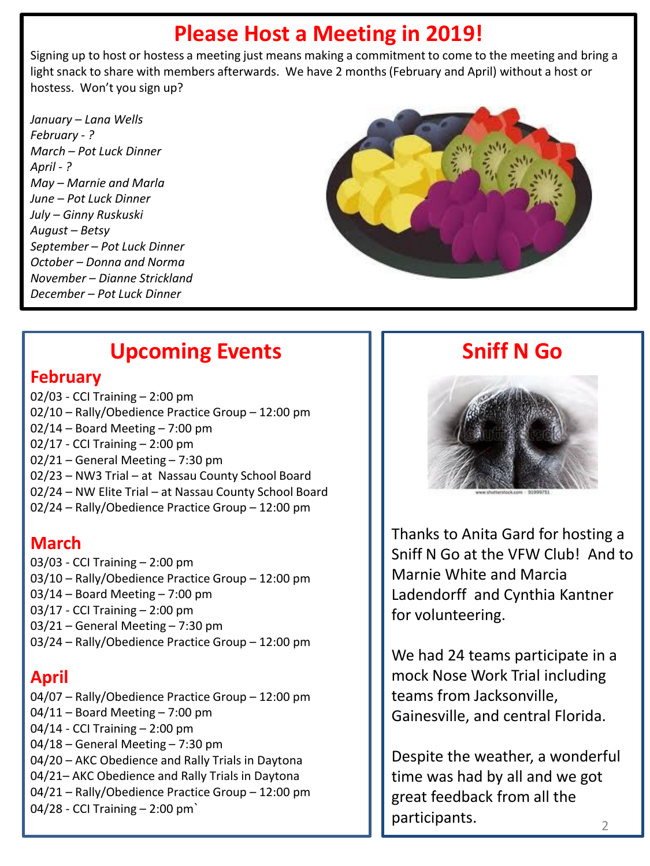### **Please Host a Meeting in 2019!**

Signing up to host or hostess a meeting just means making a commitment to come to the meeting and bring a light snack to share with members afterwards. We have 2 months (February and April) without a host or hostess. Won't you sign up?

*January – Lana Wells February - ? March – Pot Luck Dinner April - ? May – Marnie and Marla June – Pot Luck Dinner July – Ginny Ruskuski August – Betsy September – Pot Luck Dinner October – Donna and Norma November – Dianne Strickland December – Pot Luck Dinner*



# **Upcoming Events**

#### **February**

02/03 - CCI Training – 2:00 pm 02/10 – Rally/Obedience Practice Group – 12:00 pm 02/14 – Board Meeting – 7:00 pm 02/17 - CCI Training – 2:00 pm 02/21 – General Meeting – 7:30 pm 02/23 – NW3 Trial – at Nassau County School Board 02/24 – NW Elite Trial – at Nassau County School Board 02/24 – Rally/Obedience Practice Group – 12:00 pm

#### **March**

03/03 - CCI Training – 2:00 pm 03/10 – Rally/Obedience Practice Group – 12:00 pm 03/14 – Board Meeting – 7:00 pm 03/17 - CCI Training – 2:00 pm 03/21 – General Meeting – 7:30 pm 03/24 – Rally/Obedience Practice Group – 12:00 pm

### **April**

04/07 – Rally/Obedience Practice Group – 12:00 pm 04/11 – Board Meeting – 7:00 pm 04/14 - CCI Training – 2:00 pm 04/18 – General Meeting – 7:30 pm 04/20 – AKC Obedience and Rally Trials in Daytona 04/21– AKC Obedience and Rally Trials in Daytona 04/21 – Rally/Obedience Practice Group – 12:00 pm 04/28 - CCI Training – 2:00 pm`

### **Sniff N Go**



Thanks to Anita Gard for hosting a Sniff N Go at the VFW Club! And to Marnie White and Marcia Ladendorff and Cynthia Kantner for volunteering.

We had 24 teams participate in a mock Nose Work Trial including teams from Jacksonville, Gainesville, and central Florida.

Despite the weather, a wonderful time was had by all and we got great feedback from all the participants.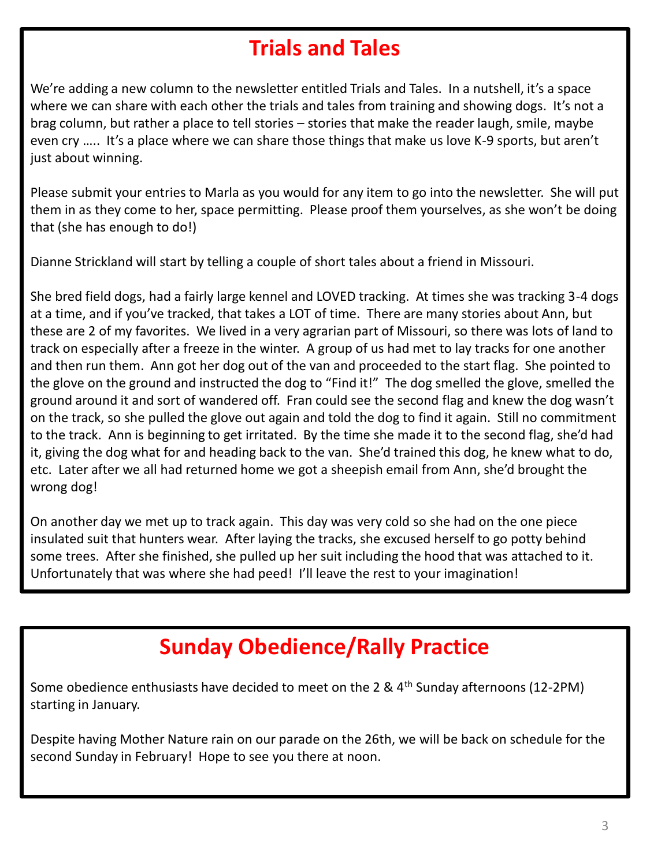# **Trials and Tales**

We're adding a new column to the newsletter entitled Trials and Tales. In a nutshell, it's a space where we can share with each other the trials and tales from training and showing dogs. It's not a brag column, but rather a place to tell stories – stories that make the reader laugh, smile, maybe even cry ….. It's a place where we can share those things that make us love K-9 sports, but aren't just about winning.

Please submit your entries to Marla as you would for any item to go into the newsletter. She will put them in as they come to her, space permitting. Please proof them yourselves, as she won't be doing that (she has enough to do!)

Dianne Strickland will start by telling a couple of short tales about a friend in Missouri.

She bred field dogs, had a fairly large kennel and LOVED tracking. At times she was tracking 3-4 dogs at a time, and if you've tracked, that takes a LOT of time. There are many stories about Ann, but these are 2 of my favorites. We lived in a very agrarian part of Missouri, so there was lots of land to track on especially after a freeze in the winter. A group of us had met to lay tracks for one another and then run them. Ann got her dog out of the van and proceeded to the start flag. She pointed to the glove on the ground and instructed the dog to "Find it!" The dog smelled the glove, smelled the ground around it and sort of wandered off. Fran could see the second flag and knew the dog wasn't on the track, so she pulled the glove out again and told the dog to find it again. Still no commitment to the track. Ann is beginning to get irritated. By the time she made it to the second flag, she'd had it, giving the dog what for and heading back to the van. She'd trained this dog, he knew what to do, etc. Later after we all had returned home we got a sheepish email from Ann, she'd brought the wrong dog!

On another day we met up to track again. This day was very cold so she had on the one piece insulated suit that hunters wear. After laying the tracks, she excused herself to go potty behind some trees. After she finished, she pulled up her suit including the hood that was attached to it. Unfortunately that was where she had peed! I'll leave the rest to your imagination!

# **Sunday Obedience/Rally Practice**

Some obedience enthusiasts have decided to meet on the 2 &  $4<sup>th</sup>$  Sunday afternoons (12-2PM) starting in January.

Despite having Mother Nature rain on our parade on the 26th, we will be back on schedule for the second Sunday in February! Hope to see you there at noon.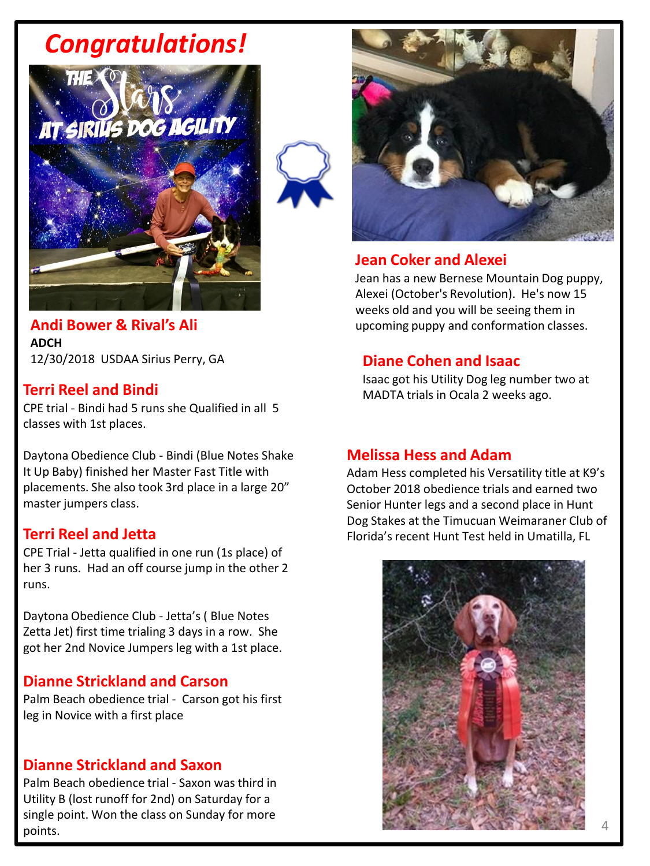# *Congratulations!*





#### **Andi Bower & Rival's Ali ADCH** 12/30/2018 USDAA Sirius Perry, GA

CPE trial - Bindi had 5 runs she Qualified in all 5 classes with 1st places.

Daytona Obedience Club - Bindi (Blue Notes Shake It Up Baby) finished her Master Fast Title with placements. She also took 3rd place in a large 20" master jumpers class.

#### **Terri Reel and Jetta**

CPE Trial - Jetta qualified in one run (1s place) of her 3 runs. Had an off course jump in the other 2 runs.

Daytona Obedience Club - Jetta's ( Blue Notes Zetta Jet) first time trialing 3 days in a row. She got her 2nd Novice Jumpers leg with a 1st place.

#### **Dianne Strickland and Carson**

Palm Beach obedience trial - Carson got his first leg in Novice with a first place

#### **Dianne Strickland and Saxon**

Palm Beach obedience trial - Saxon was third in Utility B (lost runoff for 2nd) on Saturday for a single point. Won the class on Sunday for more points.



#### **Jean Coker and Alexei**

Jean has a new Bernese Mountain Dog puppy, Alexei (October's Revolution). He's now 15 weeks old and you will be seeing them in upcoming puppy and conformation classes.

#### **Diane Cohen and Isaac**

Isaac got his Utility Dog leg number two at **Terri Reel and Bindi** MADTA trials in Ocala 2 weeks ago.

#### **Melissa Hess and Adam**

Adam Hess completed his Versatility title at K9's October 2018 obedience trials and earned two Senior Hunter legs and a second place in Hunt Dog Stakes at the Timucuan Weimaraner Club of Florida's recent Hunt Test held in Umatilla, FL